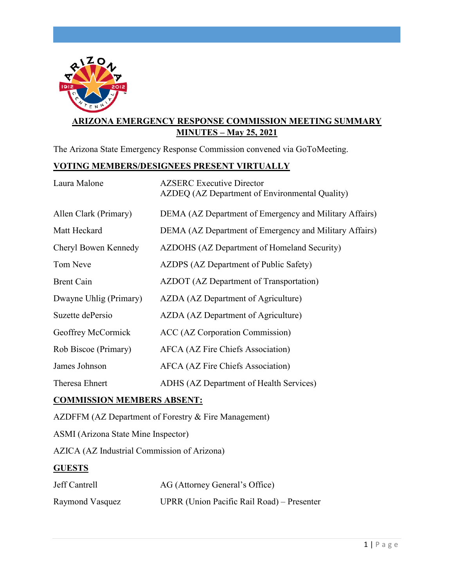

# **ARIZONA EMERGENCY RESPONSE COMMISSION MEETING SUMMARY MINUTES – May 25, 2021**

The Arizona State Emergency Response Commission convened via GoToMeeting.

## **VOTING MEMBERS/DESIGNEES PRESENT VIRTUALLY**

| <b>AZSERC</b> Executive Director<br>AZDEQ (AZ Department of Environmental Quality) |
|------------------------------------------------------------------------------------|
| DEMA (AZ Department of Emergency and Military Affairs)                             |
| DEMA (AZ Department of Emergency and Military Affairs)                             |
| AZDOHS (AZ Department of Homeland Security)                                        |
| AZDPS (AZ Department of Public Safety)                                             |
| <b>AZDOT</b> (AZ Department of Transportation)                                     |
| AZDA (AZ Department of Agriculture)                                                |
| AZDA (AZ Department of Agriculture)                                                |
| ACC (AZ Corporation Commission)                                                    |
| AFCA (AZ Fire Chiefs Association)                                                  |
| <b>AFCA</b> (AZ Fire Chiefs Association)                                           |
| ADHS (AZ Department of Health Services)                                            |
|                                                                                    |

## **COMMISSION MEMBERS ABSENT:**

AZDFFM (AZ Department of Forestry & Fire Management)

ASMI (Arizona State Mine Inspector)

AZICA (AZ Industrial Commission of Arizona)

#### **GUESTS**

| Jeff Cantrell   | AG (Attorney General's Office)             |
|-----------------|--------------------------------------------|
| Raymond Vasquez | UPRR (Union Pacific Rail Road) – Presenter |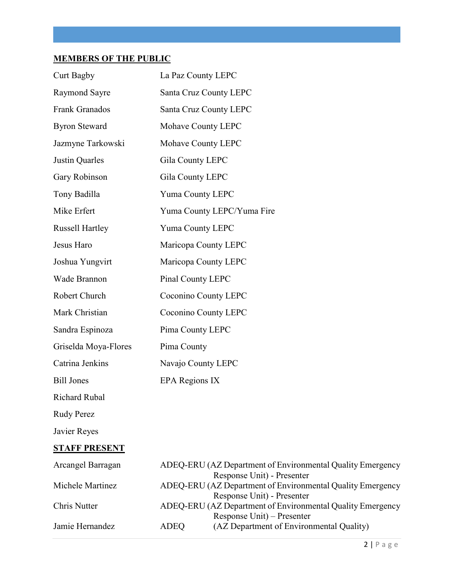# **MEMBERS OF THE PUBLIC**

| <b>Curt Bagby</b>      | La Paz County LEPC          |
|------------------------|-----------------------------|
| <b>Raymond Sayre</b>   | Santa Cruz County LEPC      |
| Frank Granados         | Santa Cruz County LEPC      |
| <b>Byron Steward</b>   | Mohave County LEPC          |
| Jazmyne Tarkowski      | Mohave County LEPC          |
| Justin Quarles         | Gila County LEPC            |
| <b>Gary Robinson</b>   | Gila County LEPC            |
| Tony Badilla           | Yuma County LEPC            |
| Mike Erfert            | Yuma County LEPC/Yuma Fire  |
| <b>Russell Hartley</b> | Yuma County LEPC            |
| Jesus Haro             | Maricopa County LEPC        |
| Joshua Yungvirt        | Maricopa County LEPC        |
| Wade Brannon           | Pinal County LEPC           |
| Robert Church          | <b>Coconino County LEPC</b> |
| Mark Christian         | Coconino County LEPC        |
| Sandra Espinoza        | Pima County LEPC            |
| Griselda Moya-Flores   | Pima County                 |
| Catrina Jenkins        | Navajo County LEPC          |
| <b>Bill Jones</b>      | <b>EPA Regions IX</b>       |
| <b>Richard Rubal</b>   |                             |

Rudy Perez

Javier Reyes

# **STAFF PRESENT**

| Arcangel Barragan |      | ADEQ-ERU (AZ Department of Environmental Quality Emergency |
|-------------------|------|------------------------------------------------------------|
|                   |      | Response Unit) - Presenter                                 |
| Michele Martinez  |      | ADEQ-ERU (AZ Department of Environmental Quality Emergency |
|                   |      | Response Unit) - Presenter                                 |
| Chris Nutter      |      | ADEQ-ERU (AZ Department of Environmental Quality Emergency |
|                   |      | Response Unit) – Presenter                                 |
| Jamie Hernandez   | ADEQ | (AZ Department of Environmental Quality)                   |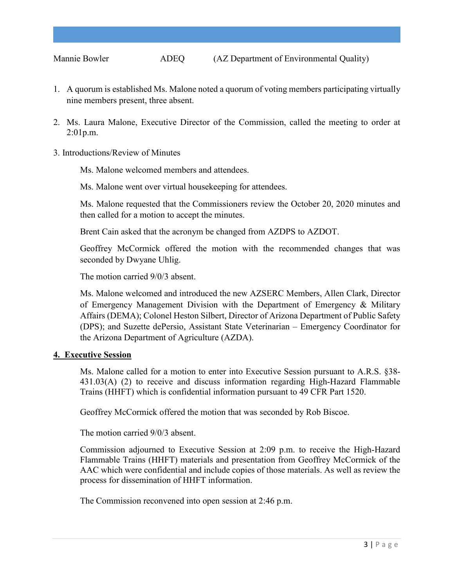- 1. A quorum is established Ms. Malone noted a quorum of voting members participating virtually nine members present, three absent.
- 2. Ms. Laura Malone, Executive Director of the Commission, called the meeting to order at 2:01p.m.
- 3. Introductions/Review of Minutes

Ms. Malone welcomed members and attendees.

Ms. Malone went over virtual housekeeping for attendees.

Ms. Malone requested that the Commissioners review the October 20, 2020 minutes and then called for a motion to accept the minutes.

Brent Cain asked that the acronym be changed from AZDPS to AZDOT.

Geoffrey McCormick offered the motion with the recommended changes that was seconded by Dwyane Uhlig.

The motion carried 9/0/3 absent.

Ms. Malone welcomed and introduced the new AZSERC Members, Allen Clark, Director of Emergency Management Division with the Department of Emergency & Military Affairs (DEMA); Colonel Heston Silbert, Director of Arizona Department of Public Safety (DPS); and Suzette dePersio, Assistant State Veterinarian – Emergency Coordinator for the Arizona Department of Agriculture (AZDA).

#### **4. Executive Session**

Ms. Malone called for a motion to enter into Executive Session pursuant to A.R.S. §38- 431.03(A) (2) to receive and discuss information regarding High-Hazard Flammable Trains (HHFT) which is confidential information pursuant to 49 CFR Part 1520.

Geoffrey McCormick offered the motion that was seconded by Rob Biscoe.

The motion carried 9/0/3 absent.

Commission adjourned to Executive Session at 2:09 p.m. to receive the High-Hazard Flammable Trains (HHFT) materials and presentation from Geoffrey McCormick of the AAC which were confidential and include copies of those materials. As well as review the process for dissemination of HHFT information.

The Commission reconvened into open session at 2:46 p.m.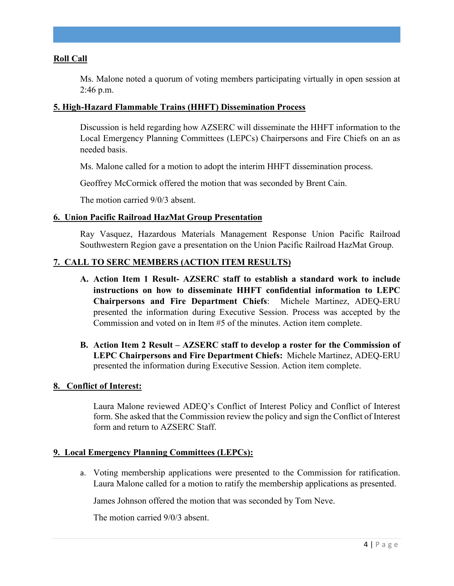#### **Roll Call**

Ms. Malone noted a quorum of voting members participating virtually in open session at 2:46 p.m.

#### **5. High-Hazard Flammable Trains (HHFT) Dissemination Process**

Discussion is held regarding how AZSERC will disseminate the HHFT information to the Local Emergency Planning Committees (LEPCs) Chairpersons and Fire Chiefs on an as needed basis.

Ms. Malone called for a motion to adopt the interim HHFT dissemination process.

Geoffrey McCormick offered the motion that was seconded by Brent Cain.

The motion carried 9/0/3 absent.

#### **6. Union Pacific Railroad HazMat Group Presentation**

Ray Vasquez, Hazardous Materials Management Response Union Pacific Railroad Southwestern Region gave a presentation on the Union Pacific Railroad HazMat Group.

#### **7. CALL TO SERC MEMBERS (ACTION ITEM RESULTS)**

- **A. Action Item 1 Result- AZSERC staff to establish a standard work to include instructions on how to disseminate HHFT confidential information to LEPC Chairpersons and Fire Department Chiefs**: Michele Martinez, ADEQ-ERU presented the information during Executive Session. Process was accepted by the Commission and voted on in Item #5 of the minutes. Action item complete.
- **B. Action Item 2 Result AZSERC staff to develop a roster for the Commission of LEPC Chairpersons and Fire Department Chiefs:** Michele Martinez, ADEQ-ERU presented the information during Executive Session. Action item complete.

#### **8. Conflict of Interest:**

Laura Malone reviewed ADEQ's Conflict of Interest Policy and Conflict of Interest form. She asked that the Commission review the policy and sign the Conflict of Interest form and return to AZSERC Staff.

#### **9. Local Emergency Planning Committees (LEPCs):**

a. Voting membership applications were presented to the Commission for ratification. Laura Malone called for a motion to ratify the membership applications as presented.

James Johnson offered the motion that was seconded by Tom Neve.

The motion carried 9/0/3 absent.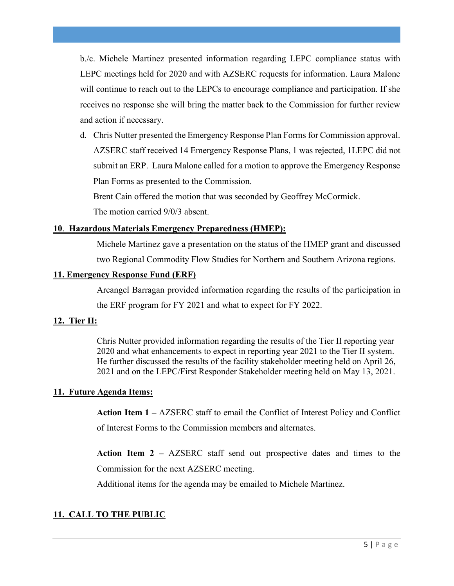b./c. Michele Martinez presented information regarding LEPC compliance status with LEPC meetings held for 2020 and with AZSERC requests for information. Laura Malone will continue to reach out to the LEPCs to encourage compliance and participation. If she receives no response she will bring the matter back to the Commission for further review and action if necessary.

d. Chris Nutter presented the Emergency Response Plan Forms for Commission approval. AZSERC staff received 14 Emergency Response Plans, 1 was rejected, 1LEPC did not submit an ERP. Laura Malone called for a motion to approve the Emergency Response Plan Forms as presented to the Commission.

Brent Cain offered the motion that was seconded by Geoffrey McCormick.

The motion carried 9/0/3 absent.

#### **10**. **Hazardous Materials Emergency Preparedness (HMEP):**

Michele Martinez gave a presentation on the status of the HMEP grant and discussed two Regional Commodity Flow Studies for Northern and Southern Arizona regions.

#### **11. Emergency Response Fund (ERF)**

Arcangel Barragan provided information regarding the results of the participation in the ERF program for FY 2021 and what to expect for FY 2022.

## **12. Tier II:**

Chris Nutter provided information regarding the results of the Tier II reporting year 2020 and what enhancements to expect in reporting year 2021 to the Tier II system. He further discussed the results of the facility stakeholder meeting held on April 26, 2021 and on the LEPC/First Responder Stakeholder meeting held on May 13, 2021.

## **11. Future Agenda Items:**

**Action Item 1 –** AZSERC staff to email the Conflict of Interest Policy and Conflict of Interest Forms to the Commission members and alternates.

**Action Item 2 –** AZSERC staff send out prospective dates and times to the Commission for the next AZSERC meeting.

Additional items for the agenda may be emailed to Michele Martinez.

# **11. CALL TO THE PUBLIC**